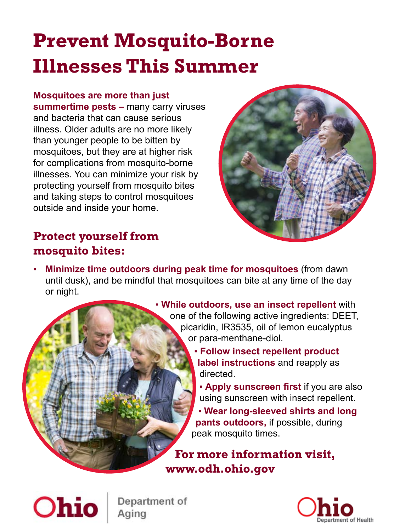# **Prevent Mosquito-Borne Illnesses This Summer**

#### **Mosquitoes are more than just**

**summertime pests –** many carry viruses and bacteria that can cause serious illness. Older adults are no more likely than younger people to be bitten by mosquitoes, but they are at higher risk for complications from mosquito-borne illnesses. You can minimize your risk by protecting yourself from mosquito bites and taking steps to control mosquitoes outside and inside your home.



### **Protect yourself from mosquito bites:**

▪ **Minimize time outdoors during peak time for mosquitoes** (from dawn until dusk), and be mindful that mosquitoes can bite at any time of the day or night.



- ▪ **Follow insect repellent product label instructions** and reapply as directed.
	- ▪ **Apply sunscreen first** if you are also using sunscreen with insect repellent.

▪ **Wear long-sleeved shirts and long pants outdoors,** if possible, during peak mosquito times.

**For more information visit, www.odh.ohio.gov**



Department of Aging